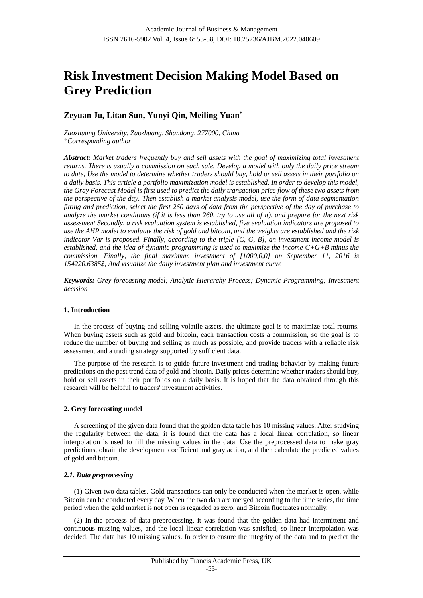# **Risk Investment Decision Making Model Based on Grey Prediction**

## **Zeyuan Ju, Litan Sun, Yunyi Qin, Meiling Yuan\***

*Zaozhuang University, Zaozhuang, Shandong, 277000, China \*Corresponding author*

*Abstract: Market traders frequently buy and sell assets with the goal of maximizing total investment returns. There is usually a commission on each sale. Develop a model with only the daily price stream to date, Use the model to determine whether traders should buy, hold or sell assets in their portfolio on a daily basis. This article a portfolio maximization model is established. In order to develop this model, the Gray Forecast Model is first used to predict the daily transaction price flow of these two assets from the perspective of the day. Then establish a market analysis model, use the form of data segmentation fitting and prediction, select the first 260 days of data from the perspective of the day of purchase to analyze the market conditions (if it is less than 260, try to use all of it), and prepare for the next risk assessment Secondly, a risk evaluation system is established, five evaluation indicators are proposed to use the AHP model to evaluate the risk of gold and bitcoin, and the weights are established and the risk indicator Var is proposed. Finally, according to the triple [C, G, B], an investment income model is established, and the idea of dynamic programming is used to maximize the income C+G+B minus the commission. Finally, the final maximum investment of [1000,0,0] on September 11, 2016 is 154220.6385\$, And visualize the daily investment plan and investment curve*

*Keywords: Grey forecasting model; Analytic Hierarchy Process; Dynamic Programming; Investment decision*

#### **1. Introduction**

In the process of buying and selling volatile assets, the ultimate goal is to maximize total returns. When buying assets such as gold and bitcoin, each transaction costs a commission, so the goal is to reduce the number of buying and selling as much as possible, and provide traders with a reliable risk assessment and a trading strategy supported by sufficient data.

The purpose of the research is to guide future investment and trading behavior by making future predictions on the past trend data of gold and bitcoin. Daily prices determine whether traders should buy, hold or sell assets in their portfolios on a daily basis. It is hoped that the data obtained through this research will be helpful to traders' investment activities.

## **2. Grey forecasting model**

A screening of the given data found that the golden data table has 10 missing values. After studying the regularity between the data, it is found that the data has a local linear correlation, so linear interpolation is used to fill the missing values in the data. Use the preprocessed data to make gray predictions, obtain the development coefficient and gray action, and then calculate the predicted values of gold and bitcoin.

#### *2.1. Data preprocessing*

(1) Given two data tables. Gold transactions can only be conducted when the market is open, while Bitcoin can be conducted every day. When the two data are merged according to the time series, the time period when the gold market is not open is regarded as zero, and Bitcoin fluctuates normally.

(2) In the process of data preprocessing, it was found that the golden data had intermittent and continuous missing values, and the local linear correlation was satisfied, so linear interpolation was decided. The data has 10 missing values. In order to ensure the integrity of the data and to predict the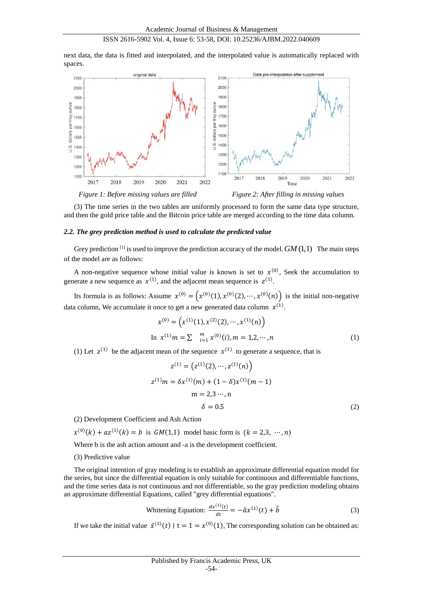next data, the data is fitted and interpolated, and the interpolated value is automatically replaced with spaces.



(3) The time series in the two tables are uniformly processed to form the same data type structure, and then the gold price table and the Bitcoin price table are merged according to the time data column.

#### *2.2. The grey prediction method is used to calculate the predicted value*

Grey prediction<sup>[1]</sup> is used to improve the prediction accuracy of the model.  $GM(1,1)$  The main steps of the model are as follows:

A non-negative sequence whose initial value is known is set to  $x^{(0)}$ , Seek the accumulation to generate a new sequence as  $x^{(1)}$ , and the adjacent mean sequence is  $z^{(1)}$ .

Its formula is as follows: Assume  $x^{(0)} = (x^{(0)}(1), x^{(0)}(2), \dots, x^{(0)}(n))$  is the initial non-negative data column, We accumulate it once to get a new generated data column  $x^{(1)}$ .

$$
x^{(0)} = \left(x^{(1)}(1), x^{(2)}(2), \cdots, x^{(1)}(n)\right)
$$
  
In  $x^{(1)}m = \sum_{i=1}^{m} x^{(0)}(i), m = 1, 2, \cdots, n$  (1)

(1) Let  $z^{(1)}$  be the adjacent mean of the sequence  $x^{(1)}$  to generate a sequence, that is

$$
z^{(1)} = (z^{(1)}(2), \cdots, z^{(1)}(n))
$$
  
\n
$$
z^{(1)}m = \delta x^{(1)}(m) + (1 - \delta)x^{(1)}(m - 1)
$$
  
\n
$$
m = 2, 3 \cdots, n
$$
  
\n
$$
\delta = 0.5
$$
 (2)

(2) Development Coefficient and Ash Action

$$
x^{(0)}(k) + az^{(1)}(k) = b
$$
 is  $GM(1,1)$  model basic form is  $(k = 2,3, \dots, n)$ 

Where b is the ash action amount and -a is the development coefficient.

(3) Predictive value

The original intention of gray modeling is to establish an approximate differential equation model for the series, but since the differential equation is only suitable for continuous and differentiable functions, and the time series data is not continuous and not differentiable, so the gray prediction modeling obtains an approximate differential Equations, called "grey differential equations".

Whitening Equation: 
$$
\frac{dx^{(1)}(t)}{dt} = -\hat{a}x^{(1)}(t) + \hat{b}
$$
 (3)

If we take the initial value  $\hat{x}^{(1)}(t) \mid t = 1 = x^{(0)}(1)$ , The corresponding solution can be obtained as: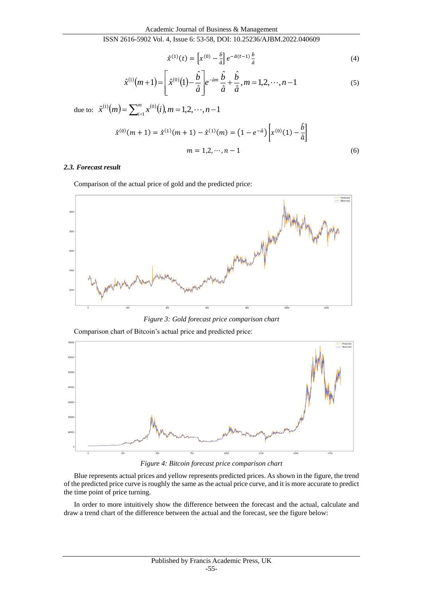$$
\hat{\chi}^{(1)}(t) = \left[ \chi^{(0)} - \frac{\hat{b}}{\hat{a}} \right] e^{-\hat{a}(t-1)} \frac{\hat{b}}{\hat{a}} \tag{4}
$$

$$
\hat{x}^{(1)}(m+1) = \left[\hat{x}^{(0)}(1) - \frac{\hat{b}}{\hat{a}}\right]e^{-\hat{a}m}\frac{\hat{b}}{\hat{a}} + \frac{\hat{b}}{\hat{a}}, m = 1, 2, \cdots, n-1
$$
\n(5)

due to:  $\hat{x}^{(1)}(m) = \sum_{i=1}^{m} x^{(0)}(i), m = 1, 2, \dots, n-1$  $\hat{x}^{(1)}(m) = \sum_{i=1}^{m} x^{(0)}(i), m = 1, 2, \cdots, n - 1$ 

$$
\hat{x}^{(0)}(m+1) = \hat{x}^{(1)}(m+1) - \hat{x}^{(1)}(m) = (1 - e^{-\hat{a}}) \left[ x^{(0)}(1) - \frac{\hat{b}}{\hat{a}} \right]
$$
  
\n
$$
m = 1, 2, \dots, n-1
$$
\n(6)

#### *2.3. Forecast result*

Comparison of the actual price of gold and the predicted price:



*Figure 3: Gold forecast price comparison chart*

Comparison chart of Bitcoin's actual price and predicted price:



*Figure 4: Bitcoin forecast price comparison chart*

Blue represents actual prices and yellow represents predicted prices. As shown in the figure, the trend of the predicted price curve is roughly the same as the actual price curve, and it is more accurate to predict the time point of price turning.

In order to more intuitively show the difference between the forecast and the actual, calculate and draw a trend chart of the difference between the actual and the forecast, see the figure below: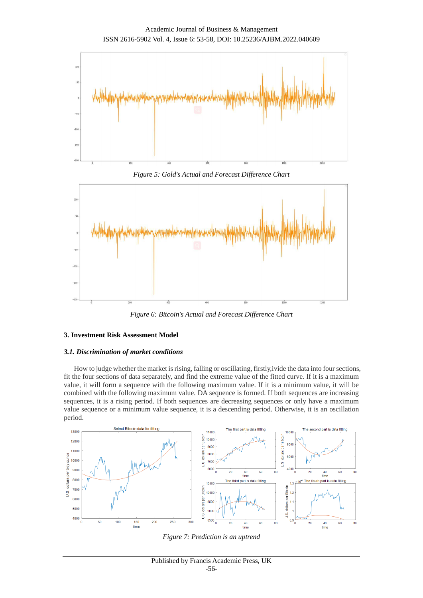



*Figure 6: Bitcoin's Actual and Forecast Difference Chart*

## **3. Investment Risk Assessment Model**

#### *3.1. Discrimination of market conditions*

How to judge whether the market is rising, falling or oscillating, firstly,ivide the data into four sections, fit the four sections of data separately, and find the extreme value of the fitted curve. If it is a maximum value, it will form a sequence with the following maximum value. If it is a minimum value, it will be combined with the following maximum value. DA sequence is formed. If both sequences are increasing sequences, it is a rising period. If both sequences are decreasing sequences or only have a maximum value sequence or a minimum value sequence, it is a descending period. Otherwise, it is an oscillation period.



*Figure 7: Prediction is an uptrend*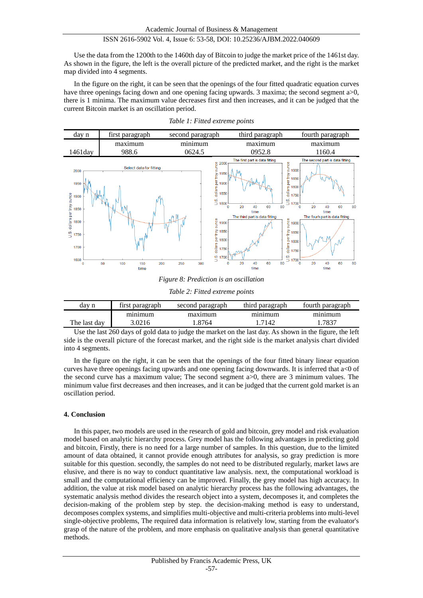Use the data from the 1200th to the 1460th day of Bitcoin to judge the market price of the 1461st day. As shown in the figure, the left is the overall picture of the predicted market, and the right is the market map divided into 4 segments.

In the figure on the right, it can be seen that the openings of the four fitted quadratic equation curves have three openings facing down and one opening facing upwards. 3 maxima; the second segment a>0, there is 1 minima. The maximum value decreases first and then increases, and it can be judged that the current Bitcoin market is an oscillation period.



*Table 1: Fitted extreme points*

*Figure 8: Prediction is an oscillation*

*Table 2: Fitted extreme points*

| dav n        | tırst paragraph | second paragraph | third paragraph | fourth paragraph |  |
|--------------|-----------------|------------------|-----------------|------------------|--|
|              | minimum         | maximum          | minimum         | minimum          |  |
| The last dav | .0216           | .8764            | .7142           | 702              |  |

Use the last 260 days of gold data to judge the market on the last day. As shown in the figure, the left side is the overall picture of the forecast market, and the right side is the market analysis chart divided into 4 segments.

In the figure on the right, it can be seen that the openings of the four fitted binary linear equation curves have three openings facing upwards and one opening facing downwards. It is inferred that a<0 of the second curve has a maximum value; The second segment a>0, there are 3 minimum values. The minimum value first decreases and then increases, and it can be judged that the current gold market is an oscillation period.

#### **4. Conclusion**

In this paper, two models are used in the research of gold and bitcoin, grey model and risk evaluation model based on analytic hierarchy process. Grey model has the following advantages in predicting gold and bitcoin, Firstly, there is no need for a large number of samples. In this question, due to the limited amount of data obtained, it cannot provide enough attributes for analysis, so gray prediction is more suitable for this question. secondly, the samples do not need to be distributed regularly, market laws are elusive, and there is no way to conduct quantitative law analysis. next, the computational workload is small and the computational efficiency can be improved. Finally, the grey model has high accuracy. In addition, the value at risk model based on analytic hierarchy process has the following advantages, the systematic analysis method divides the research object into a system, decomposes it, and completes the decision-making of the problem step by step. the decision-making method is easy to understand, decomposes complex systems, and simplifies multi-objective and multi-criteria problems into multi-level single-objective problems, The required data information is relatively low, starting from the evaluator's grasp of the nature of the problem, and more emphasis on qualitative analysis than general quantitative methods.